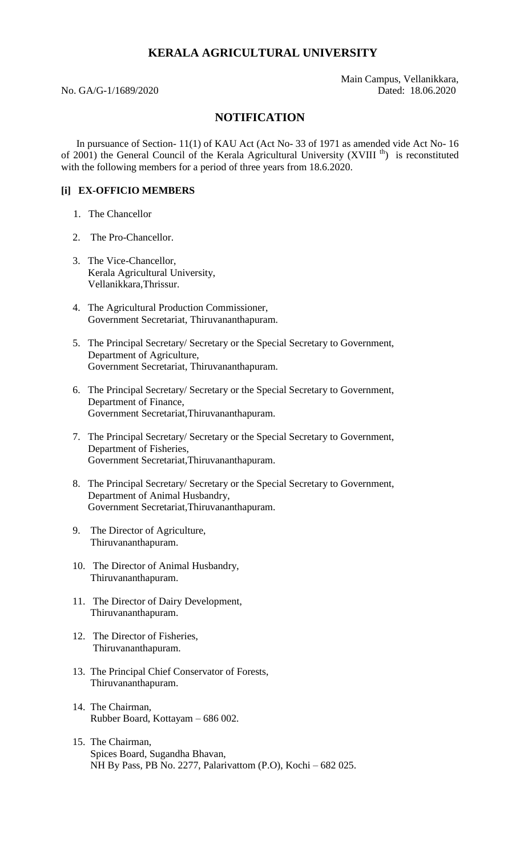# **KERALA AGRICULTURAL UNIVERSITY**

 Main Campus, Vellanikkara, No. GA/G-1/1689/2020 Dated: 18.06.2020

## **NOTIFICATION**

In pursuance of Section- 11(1) of KAU Act (Act No- 33 of 1971 as amended vide Act No- 16 of 2001) the General Council of the Kerala Agricultural University (XVIII<sup>th</sup>) is reconstituted with the following members for a period of three years from 18.6.2020.

## **[i] EX-OFFICIO MEMBERS**

- 1. The Chancellor
- 2. The Pro-Chancellor.
- 3. The Vice-Chancellor, Kerala Agricultural University, Vellanikkara,Thrissur.
- 4. The Agricultural Production Commissioner, Government Secretariat, Thiruvananthapuram.
- 5. The Principal Secretary/ Secretary or the Special Secretary to Government, Department of Agriculture, Government Secretariat, Thiruvananthapuram.
- 6. The Principal Secretary/ Secretary or the Special Secretary to Government, Department of Finance, Government Secretariat,Thiruvananthapuram.
- 7. The Principal Secretary/ Secretary or the Special Secretary to Government, Department of Fisheries, Government Secretariat,Thiruvananthapuram.
- 8. The Principal Secretary/ Secretary or the Special Secretary to Government, Department of Animal Husbandry, Government Secretariat,Thiruvananthapuram.
- 9. The Director of Agriculture, Thiruvananthapuram.
- 10. The Director of Animal Husbandry, Thiruvananthapuram.
- 11. The Director of Dairy Development, Thiruvananthapuram.
- 12. The Director of Fisheries, Thiruvananthapuram.
- 13. The Principal Chief Conservator of Forests, Thiruvananthapuram.
- 14. The Chairman, Rubber Board, Kottayam – 686 002.
- 15. The Chairman, Spices Board, Sugandha Bhavan, NH By Pass, PB No. 2277, Palarivattom (P.O), Kochi – 682 025.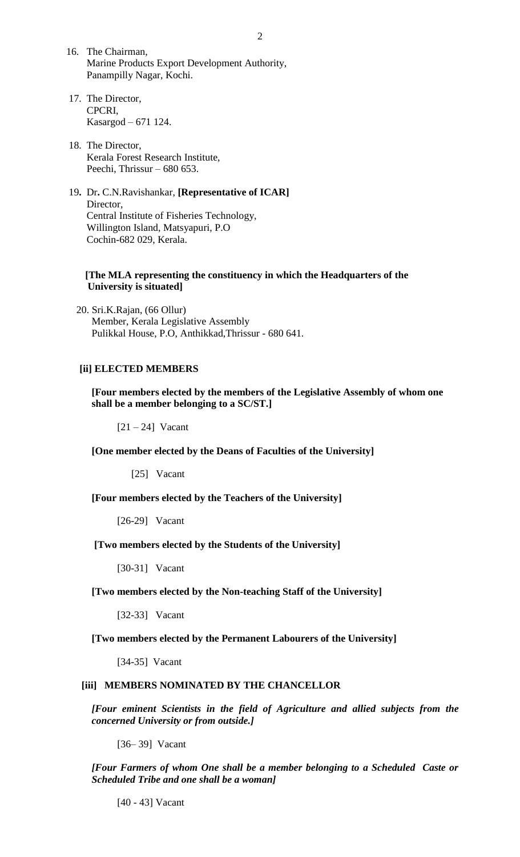- 16. The Chairman, Marine Products Export Development Authority, Panampilly Nagar, Kochi.
- 17. The Director, CPCRI, Kasargod – 671 124.
- 18. The Director, Kerala Forest Research Institute, Peechi, Thrissur – 680 653.
- 19**.** Dr**.** C.N.Ravishankar, **[Representative of ICAR]** Director, Central Institute of Fisheries Technology, Willington Island, Matsyapuri, P.O Cochin-682 029, Kerala.

## **[The MLA representing the constituency in which the Headquarters of the University is situated]**

 20. Sri.K.Rajan, (66 Ollur) Member, Kerala Legislative Assembly Pulikkal House, P.O, Anthikkad,Thrissur - 680 641.

## **[ii] ELECTED MEMBERS**

**[Four members elected by the members of the Legislative Assembly of whom one shall be a member belonging to a SC/ST.]**

 $[21 - 24]$  Vacant

**[One member elected by the Deans of Faculties of the University]**

[25] Vacant

**[Four members elected by the Teachers of the University]**

[26-29] Vacant

## **[Two members elected by the Students of the University]**

[30-31] Vacant

**[Two members elected by the Non-teaching Staff of the University]**

[32-33] Vacant

#### **[Two members elected by the Permanent Labourers of the University]**

[34-35] Vacant

### **[iii] MEMBERS NOMINATED BY THE CHANCELLOR**

*[Four eminent Scientists in the field of Agriculture and allied subjects from the concerned University or from outside.]*

[36– 39] Vacant

*[Four Farmers of whom One shall be a member belonging to a Scheduled Caste or Scheduled Tribe and one shall be a woman]*

[40 - 43] Vacant